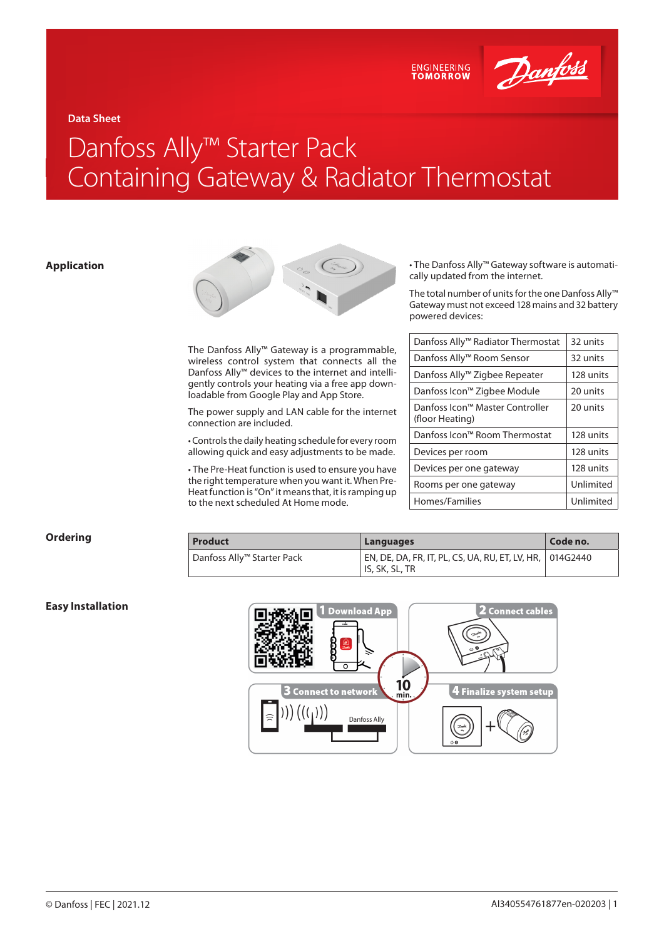**ENGINEERING**<br>TOMORROW



**Data Sheet**

# Danfoss Ally™ Starter Pack Containing Gateway & Radiator Thermostat

## **Application**



The Danfoss Ally™ Gateway is a programmable, wireless control system that connects all the Danfoss Ally™ devices to the internet and intelligently controls your heating via a free app downloadable from Google Play and App Store.

The power supply and LAN cable for the internet connection are included.

• Controls the daily heating schedule for every room allowing quick and easy adjustments to be made.

• The Pre-Heat function is used to ensure you have the right temperature when you want it. When Pre-Heat function is "On" it means that, it is ramping up to the next scheduled At Home mode.

• The Danfoss Ally™ Gateway software is automatically updated from the internet.

The total number of units for the one Danfoss Ally™ Gateway must not exceed 128 mains and 32 battery powered devices:

| Danfoss Ally™ Radiator Thermostat                  | 32 units  |  |
|----------------------------------------------------|-----------|--|
| Danfoss Ally <sup>™</sup> Room Sensor              | 32 units  |  |
| Danfoss Ally™ Zigbee Repeater                      | 128 units |  |
| Danfoss Icon™ Zigbee Module                        | 20 units  |  |
| Danfoss Icon™ Master Controller<br>(floor Heating) | 20 units  |  |
| Danfoss Icon™ Room Thermostat                      | 128 units |  |
| Devices per room                                   | 128 units |  |
| Devices per one gateway                            | 128 units |  |
| Rooms per one gateway                              | Unlimited |  |
| Homes/Families                                     | Unlimited |  |

| Orderina |  |
|----------|--|
|----------|--|

| Ordering | <b>Product</b>             | Languages                                                                    | Code no. |
|----------|----------------------------|------------------------------------------------------------------------------|----------|
|          | Danfoss Ally™ Starter Pack | EN, DE, DA, FR, IT, PL, CS, UA, RU, ET, LV, HR,   014G2440<br>IS, SK, SL, TR |          |

## **Easy Installation**

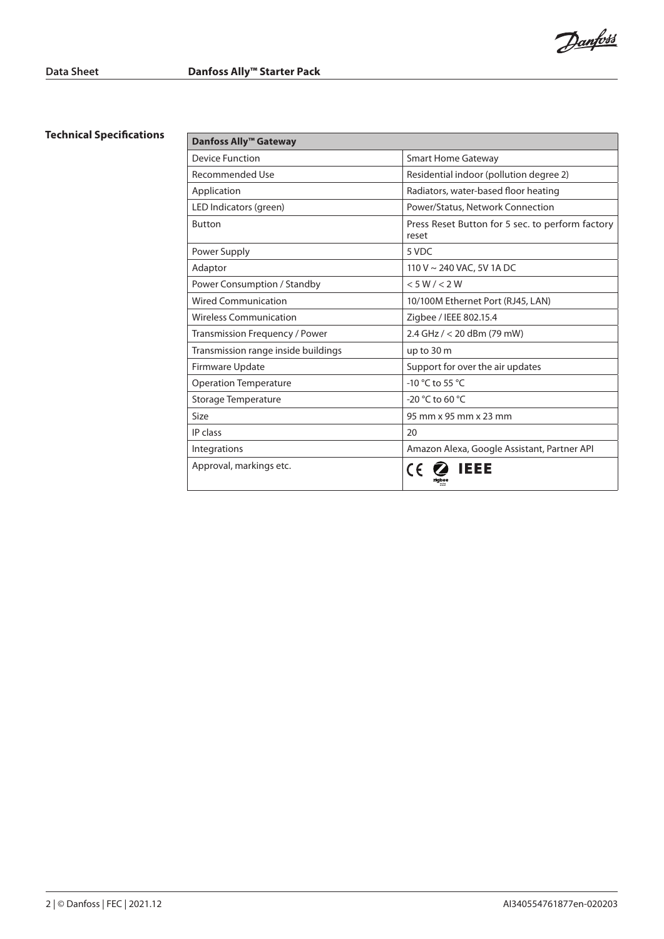## **Technical Specifications**

| Danfoss Ally <sup>™</sup> Gateway   |                                                           |  |
|-------------------------------------|-----------------------------------------------------------|--|
| <b>Device Function</b>              | <b>Smart Home Gateway</b>                                 |  |
| Recommended Use                     | Residential indoor (pollution degree 2)                   |  |
| Application                         | Radiators, water-based floor heating                      |  |
| LED Indicators (green)              | Power/Status, Network Connection                          |  |
| <b>Button</b>                       | Press Reset Button for 5 sec. to perform factory<br>reset |  |
| Power Supply                        | 5 VDC                                                     |  |
| Adaptor                             | 110 V $\sim$ 240 VAC, 5V 1A DC                            |  |
| Power Consumption / Standby         | < 5 W / < 2 W                                             |  |
| <b>Wired Communication</b>          | 10/100M Ethernet Port (RJ45, LAN)                         |  |
| <b>Wireless Communication</b>       | Zigbee / IEEE 802.15.4                                    |  |
| Transmission Frequency / Power      | 2.4 GHz / < 20 dBm (79 mW)                                |  |
| Transmission range inside buildings | up to 30 m                                                |  |
| Firmware Update                     | Support for over the air updates                          |  |
| <b>Operation Temperature</b>        | -10 °C to 55 °C                                           |  |
| Storage Temperature                 | -20 $^{\circ}$ C to 60 $^{\circ}$ C                       |  |
| <b>Size</b>                         | 95 mm x 95 mm x 23 mm                                     |  |
| IP class                            | 20                                                        |  |
| Integrations                        | Amazon Alexa, Google Assistant, Partner API               |  |
| Approval, markings etc.             | <b>IEEE</b>                                               |  |

Danfoss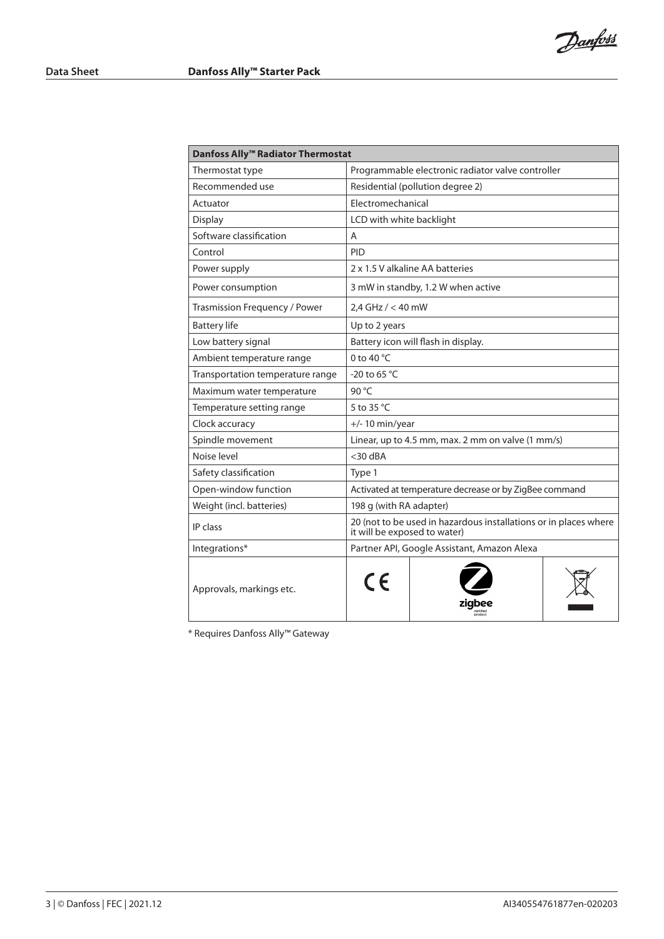Danfoss

| Danfoss Ally <sup>™</sup> Radiator Thermostat |                                                                                                  |  |  |  |
|-----------------------------------------------|--------------------------------------------------------------------------------------------------|--|--|--|
| Thermostat type                               | Programmable electronic radiator valve controller                                                |  |  |  |
| Recommended use                               | Residential (pollution degree 2)                                                                 |  |  |  |
| Actuator                                      | Electromechanical                                                                                |  |  |  |
| <b>Display</b>                                | LCD with white backlight                                                                         |  |  |  |
| Software classification                       | A                                                                                                |  |  |  |
| Control                                       | PID                                                                                              |  |  |  |
| Power supply                                  | 2 x 1.5 V alkaline AA batteries                                                                  |  |  |  |
| Power consumption                             | 3 mW in standby, 1.2 W when active                                                               |  |  |  |
| Trasmission Frequency / Power                 | 2.4 GHz $/ < 40$ mW                                                                              |  |  |  |
| <b>Battery life</b>                           | Up to 2 years                                                                                    |  |  |  |
| Low battery signal                            | Battery icon will flash in display.                                                              |  |  |  |
| Ambient temperature range                     | 0 to 40 °C                                                                                       |  |  |  |
| Transportation temperature range              | -20 to 65 $°C$                                                                                   |  |  |  |
| Maximum water temperature                     | 90 $\degree$ C                                                                                   |  |  |  |
| Temperature setting range                     | 5 to 35 °C                                                                                       |  |  |  |
| Clock accuracy                                | $+/- 10$ min/year                                                                                |  |  |  |
| Spindle movement                              | Linear, up to 4.5 mm, max. 2 mm on valve (1 mm/s)                                                |  |  |  |
| Noise level                                   | $<$ 30 dBA                                                                                       |  |  |  |
| Safety classification                         | Type 1                                                                                           |  |  |  |
| Open-window function                          | Activated at temperature decrease or by ZigBee command                                           |  |  |  |
| Weight (incl. batteries)                      | 198 g (with RA adapter)                                                                          |  |  |  |
| IP class                                      | 20 (not to be used in hazardous installations or in places where<br>it will be exposed to water) |  |  |  |
| Integrations*                                 | Partner API, Google Assistant, Amazon Alexa                                                      |  |  |  |
| Approvals, markings etc.                      | $\epsilon$                                                                                       |  |  |  |

\* Requires Danfoss Ally™ Gateway